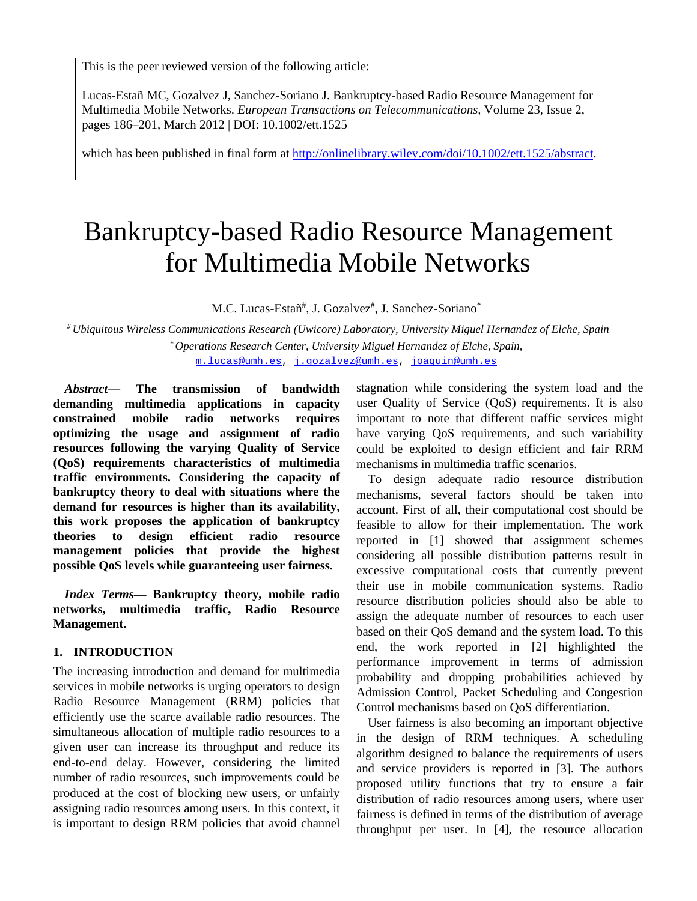This is the peer reviewed version of the following article:

Lucas-Estañ MC, Gozalvez J, Sanchez-Soriano J. Bankruptcy-based Radio Resource Management for Multimedia Mobile Networks. *European Transactions on Telecommunications,* Volume 23, Issue 2, pages 186–201, March 2012 | DOI: 10.1002/ett.1525

which has been published in final form at [http://onlinelibrary.wiley.com/doi/10.1002/ett.1525/abstract.](http://onlinelibrary.wiley.com/doi/10.1002/ett.1525/abstract)

# Bankruptcy-based Radio Resource Management for Multimedia Mobile Networks

M.C. Lucas-Estañ<sup>#</sup>, J. Gozalvez<sup>#</sup>, J. Sanchez-Soriano<sup>\*</sup>

*# Ubiquitous Wireless Communications Research (Uwicore) Laboratory, University Miguel Hernandez of Elche, Spain \* Operations Research Center, University Miguel Hernandez of Elche, Spain,*  [m.lucas@umh.es,](mailto:m.lucas@umh.es) [j.gozalvez@umh.es,](mailto:j.gozalvez@umh.es) [joaquin@umh.es](mailto:joaquin@umh.es)

*Abstract***— The transmission of bandwidth demanding multimedia applications in capacity constrained mobile radio networks requires optimizing the usage and assignment of radio resources following the varying Quality of Service (QoS) requirements characteristics of multimedia traffic environments. Considering the capacity of bankruptcy theory to deal with situations where the demand for resources is higher than its availability, this work proposes the application of bankruptcy theories to design efficient radio resource management policies that provide the highest possible QoS levels while guaranteeing user fairness.** 

*Index Terms***— Bankruptcy theory, mobile radio networks, multimedia traffic, Radio Resource Management.**

## **1. INTRODUCTION**

The increasing introduction and demand for multimedia services in mobile networks is urging operators to design Radio Resource Management (RRM) policies that efficiently use the scarce available radio resources. The simultaneous allocation of multiple radio resources to a given user can increase its throughput and reduce its end-to-end delay. However, considering the limited number of radio resources, such improvements could be produced at the cost of blocking new users, or unfairly assigning radio resources among users. In this context, it is important to design RRM policies that avoid channel

stagnation while considering the system load and the user Quality of Service (QoS) requirements. It is also important to note that different traffic services might have varying QoS requirements, and such variability could be exploited to design efficient and fair RRM mechanisms in multimedia traffic scenarios.

To design adequate radio resource distribution mechanisms, several factors should be taken into account. First of all, their computational cost should be feasible to allow for their implementation. The work reported in [\[1\]](#page-12-0) showed that assignment schemes considering all possible distribution patterns result in excessive computational costs that currently prevent their use in mobile communication systems. Radio resource distribution policies should also be able to assign the adequate number of resources to each user based on their QoS demand and the system load. To this end, the work reported in [\[2\]](#page-12-1) highlighted the performance improvement in terms of admission probability and dropping probabilities achieved by Admission Control, Packet Scheduling and Congestion Control mechanisms based on QoS differentiation.

User fairness is also becoming an important objective in the design of RRM techniques. A scheduling algorithm designed to balance the requirements of users and service providers is reported in [\[3\].](#page-12-2) The authors proposed utility functions that try to ensure a fair distribution of radio resources among users, where user fairness is defined in terms of the distribution of average throughput per user. In [\[4\],](#page-12-3) the resource allocation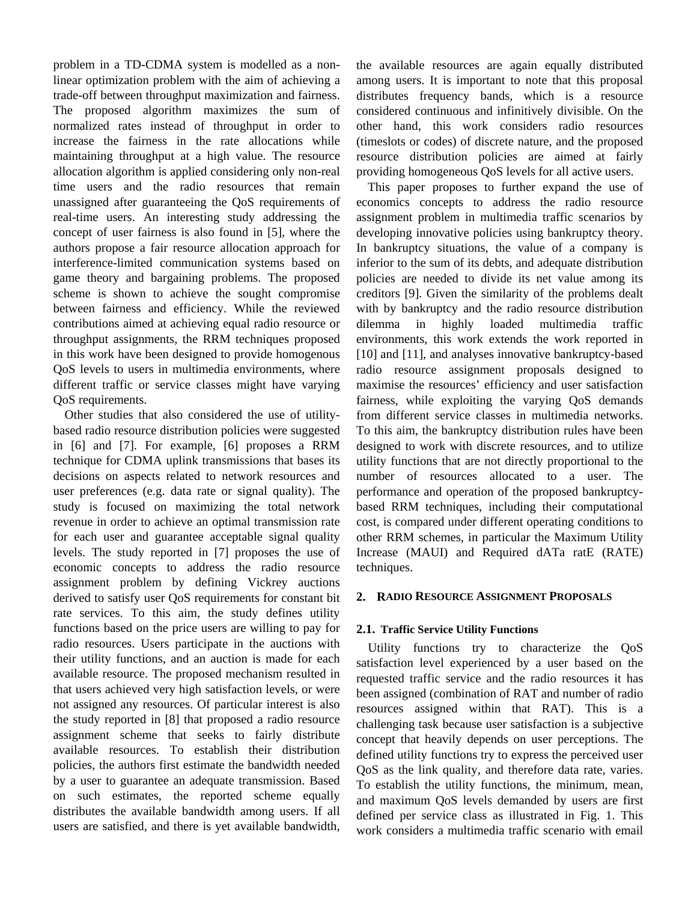problem in a TD-CDMA system is modelled as a nonlinear optimization problem with the aim of achieving a trade-off between throughput maximization and fairness. The proposed algorithm maximizes the sum of normalized rates instead of throughput in order to increase the fairness in the rate allocations while maintaining throughput at a high value. The resource allocation algorithm is applied considering only non-real time users and the radio resources that remain unassigned after guaranteeing the QoS requirements of real-time users. An interesting study addressing the concept of user fairness is also found in [\[5\],](#page-12-4) where the authors propose a fair resource allocation approach for interference-limited communication systems based on game theory and bargaining problems. The proposed scheme is shown to achieve the sought compromise between fairness and efficiency. While the reviewed contributions aimed at achieving equal radio resource or throughput assignments, the RRM techniques proposed in this work have been designed to provide homogenous QoS levels to users in multimedia environments, where different traffic or service classes might have varying QoS requirements.

Other studies that also considered the use of utilitybased radio resource distribution policies were suggested in [\[6\]](#page-12-5) and [\[7\].](#page-13-0) For example, [\[6\]](#page-12-5) proposes a RRM technique for CDMA uplink transmissions that bases its decisions on aspects related to network resources and user preferences (e.g. data rate or signal quality). The study is focused on maximizing the total network revenue in order to achieve an optimal transmission rate for each user and guarantee acceptable signal quality levels. The study reported in [\[7\]](#page-13-0) proposes the use of economic concepts to address the radio resource assignment problem by defining Vickrey auctions derived to satisfy user QoS requirements for constant bit rate services. To this aim, the study defines utility functions based on the price users are willing to pay for radio resources. Users participate in the auctions with their utility functions, and an auction is made for each available resource. The proposed mechanism resulted in that users achieved very high satisfaction levels, or were not assigned any resources. Of particular interest is also the study reported in [\[8\]](#page-13-1) that proposed a radio resource assignment scheme that seeks to fairly distribute available resources. To establish their distribution policies, the authors first estimate the bandwidth needed by a user to guarantee an adequate transmission. Based on such estimates, the reported scheme equally distributes the available bandwidth among users. If all users are satisfied, and there is yet available bandwidth, the available resources are again equally distributed among users. It is important to note that this proposal distributes frequency bands, which is a resource considered continuous and infinitively divisible. On the other hand, this work considers radio resources (timeslots or codes) of discrete nature, and the proposed resource distribution policies are aimed at fairly providing homogeneous QoS levels for all active users.

This paper proposes to further expand the use of economics concepts to address the radio resource assignment problem in multimedia traffic scenarios by developing innovative policies using bankruptcy theory. In bankruptcy situations, the value of a company is inferior to the sum of its debts, and adequate distribution policies are needed to divide its net value among its creditors [\[9\].](#page-13-2) Given the similarity of the problems dealt with by bankruptcy and the radio resource distribution dilemma in highly loaded multimedia traffic environments, this work extends the work reported in [\[10\]](#page-13-3) and [\[11\],](#page-13-4) and analyses innovative bankruptcy-based radio resource assignment proposals designed to maximise the resources' efficiency and user satisfaction fairness, while exploiting the varying QoS demands from different service classes in multimedia networks. To this aim, the bankruptcy distribution rules have been designed to work with discrete resources, and to utilize utility functions that are not directly proportional to the number of resources allocated to a user. The performance and operation of the proposed bankruptcybased RRM techniques, including their computational cost, is compared under different operating conditions to other RRM schemes, in particular the Maximum Utility Increase (MAUI) and Required dATa ratE (RATE) techniques.

# **2. RADIO RESOURCE ASSIGNMENT PROPOSALS**

## <span id="page-1-0"></span>**2.1. Traffic Service Utility Functions**

Utility functions try to characterize the QoS satisfaction level experienced by a user based on the requested traffic service and the radio resources it has been assigned (combination of RAT and number of radio resources assigned within that RAT). This is a challenging task because user satisfaction is a subjective concept that heavily depends on user perceptions. The defined utility functions try to express the perceived user QoS as the link quality, and therefore data rate, varies. To establish the utility functions, the minimum, mean, and maximum QoS levels demanded by users are first defined per service class as illustrated in Fig. 1. This work considers a multimedia traffic scenario with email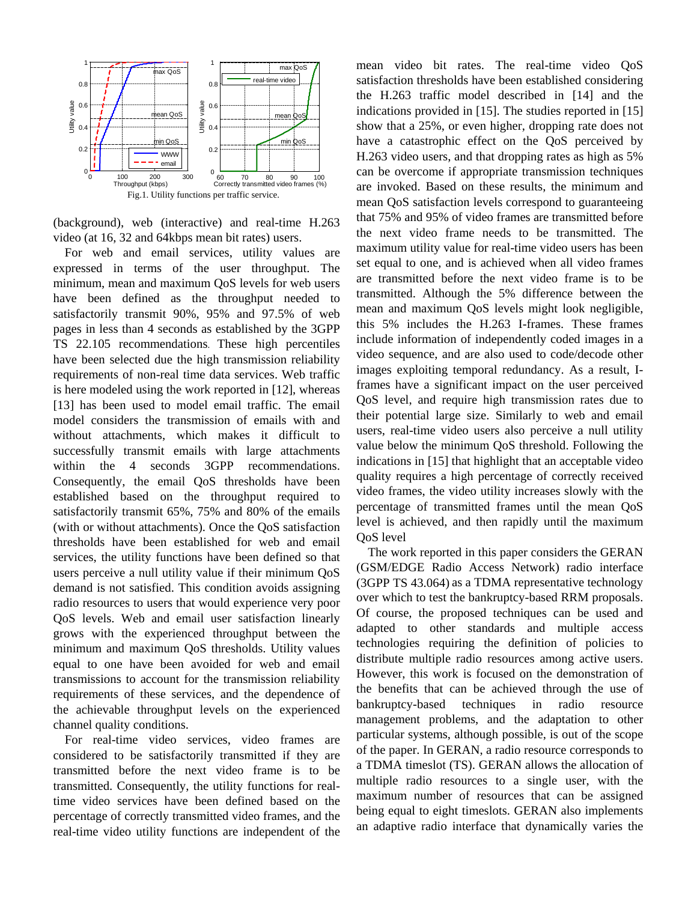

(background), web (interactive) and real-time H.263 video (at 16, 32 and 64kbps mean bit rates) users.

For web and email services, utility values are expressed in terms of the user throughput. The minimum, mean and maximum QoS levels for web users have been defined as the throughput needed to satisfactorily transmit 90%, 95% and 97.5% of web pages in less than 4 seconds as established by the 3GPP TS 22.105 recommendations. These high percentiles have been selected due the high transmission reliability requirements of non-real time data services. Web traffic is here modeled using the work reported in [\[12\],](#page-13-5) whereas [\[13\]](#page-13-6) has been used to model email traffic. The email model considers the transmission of emails with and without attachments, which makes it difficult to successfully transmit emails with large attachments within the 4 seconds 3GPP recommendations. Consequently, the email QoS thresholds have been established based on the throughput required to satisfactorily transmit 65%, 75% and 80% of the emails (with or without attachments). Once the QoS satisfaction thresholds have been established for web and email services, the utility functions have been defined so that users perceive a null utility value if their minimum QoS demand is not satisfied. This condition avoids assigning radio resources to users that would experience very poor QoS levels. Web and email user satisfaction linearly grows with the experienced throughput between the minimum and maximum QoS thresholds. Utility values equal to one have been avoided for web and email transmissions to account for the transmission reliability requirements of these services, and the dependence of the achievable throughput levels on the experienced channel quality conditions.

For real-time video services, video frames are considered to be satisfactorily transmitted if they are transmitted before the next video frame is to be transmitted. Consequently, the utility functions for realtime video services have been defined based on the percentage of correctly transmitted video frames, and the real-time video utility functions are independent of the mean video bit rates. The real-time video QoS satisfaction thresholds have been established considering the H.263 traffic model described in [\[14\]](#page-13-7) and the indications provided in [\[15\].](#page-13-8) The studies reported in [\[15\]](#page-13-8) show that a 25%, or even higher, dropping rate does not have a catastrophic effect on the QoS perceived by H.263 video users, and that dropping rates as high as 5% can be overcome if appropriate transmission techniques are invoked. Based on these results, the minimum and mean QoS satisfaction levels correspond to guaranteeing that 75% and 95% of video frames are transmitted before the next video frame needs to be transmitted. The maximum utility value for real-time video users has been set equal to one, and is achieved when all video frames are transmitted before the next video frame is to be transmitted. Although the 5% difference between the mean and maximum QoS levels might look negligible, this 5% includes the H.263 I-frames. These frames include information of independently coded images in a video sequence, and are also used to code/decode other images exploiting temporal redundancy. As a result, Iframes have a significant impact on the user perceived QoS level, and require high transmission rates due to their potential large size. Similarly to web and email users, real-time video users also perceive a null utility value below the minimum QoS threshold. Following the indications in [\[15\]](#page-13-8) that highlight that an acceptable video quality requires a high percentage of correctly received video frames, the video utility increases slowly with the percentage of transmitted frames until the mean QoS level is achieved, and then rapidly until the maximum QoS level

The work reported in this paper considers the GERAN (GSM/EDGE Radio Access Network) radio interface (3GPP TS 43.064) as a TDMA representative technology over which to test the bankruptcy-based RRM proposals. Of course, the proposed techniques can be used and adapted to other standards and multiple access technologies requiring the definition of policies to distribute multiple radio resources among active users. However, this work is focused on the demonstration of the benefits that can be achieved through the use of bankruptcy-based techniques in radio resource management problems, and the adaptation to other particular systems, although possible, is out of the scope of the paper. In GERAN, a radio resource corresponds to a TDMA timeslot (TS). GERAN allows the allocation of multiple radio resources to a single user, with the maximum number of resources that can be assigned being equal to eight timeslots. GERAN also implements an adaptive radio interface that dynamically varies the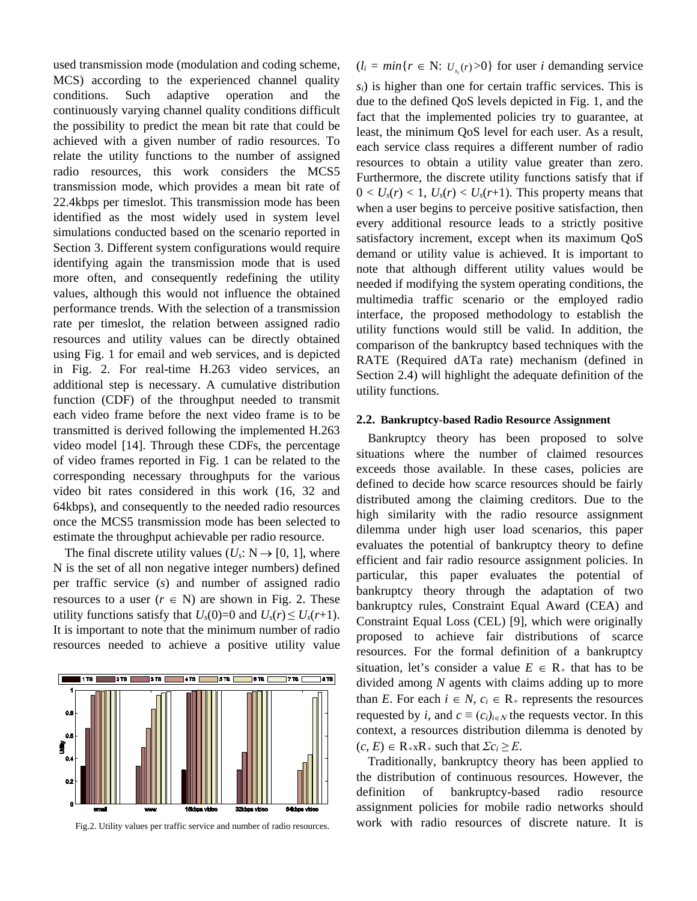used transmission mode (modulation and coding scheme, MCS) according to the experienced channel quality conditions. Such adaptive operation and the continuously varying channel quality conditions difficult the possibility to predict the mean bit rate that could be achieved with a given number of radio resources. To relate the utility functions to the number of assigned radio resources, this work considers the MCS5 transmission mode, which provides a mean bit rate of 22.4kbps per timeslot. This transmission mode has been identified as the most widely used in system level simulations conducted based on the scenario reported in Section [3.](#page-7-0) Different system configurations would require identifying again the transmission mode that is used more often, and consequently redefining the utility values, although this would not influence the obtained performance trends. With the selection of a transmission rate per timeslot, the relation between assigned radio resources and utility values can be directly obtained using Fig. 1 for email and web services, and is depicted in Fig. 2. For real-time H.263 video services, an additional step is necessary. A cumulative distribution function (CDF) of the throughput needed to transmit each video frame before the next video frame is to be transmitted is derived following the implemented H.263 video model [\[14\].](#page-13-7) Through these CDFs, the percentage of video frames reported in Fig. 1 can be related to the corresponding necessary throughputs for the various video bit rates considered in this work (16, 32 and 64kbps), and consequently to the needed radio resources once the MCS5 transmission mode has been selected to estimate the throughput achievable per radio resource.

The final discrete utility values  $(U_s: N \rightarrow [0, 1])$ , where N is the set of all non negative integer numbers) defined per traffic service (*s*) and number of assigned radio resources to a user  $(r \in N)$  are shown in Fig. 2. These utility functions satisfy that  $U_s(0)=0$  and  $U_s(r) \le U_s(r+1)$ . It is important to note that the minimum number of radio resources needed to achieve a positive utility value



 $(l_i = min\{r \in N: U_s(r) > 0\}$  for user *i* demanding service *si*) is higher than one for certain traffic services. This is due to the defined QoS levels depicted in Fig. 1, and the fact that the implemented policies try to guarantee, at least, the minimum QoS level for each user. As a result, each service class requires a different number of radio resources to obtain a utility value greater than zero. Furthermore, the discrete utility functions satisfy that if  $0 < U_s(r) < 1$ ,  $U_s(r) < U_s(r+1)$ . This property means that when a user begins to perceive positive satisfaction, then every additional resource leads to a strictly positive satisfactory increment, except when its maximum QoS demand or utility value is achieved. It is important to note that although different utility values would be needed if modifying the system operating conditions, the multimedia traffic scenario or the employed radio interface, the proposed methodology to establish the utility functions would still be valid. In addition, the comparison of the bankruptcy based techniques with the RATE (Required dATa rate) mechanism (defined in Section [2.4\)](#page-6-0) will highlight the adequate definition of the utility functions.

#### **2.2. Bankruptcy-based Radio Resource Assignment**

Bankruptcy theory has been proposed to solve situations where the number of claimed resources exceeds those available. In these cases, policies are defined to decide how scarce resources should be fairly distributed among the claiming creditors. Due to the high similarity with the radio resource assignment dilemma under high user load scenarios, this paper evaluates the potential of bankruptcy theory to define efficient and fair radio resource assignment policies. In particular, this paper evaluates the potential of bankruptcy theory through the adaptation of two bankruptcy rules, Constraint Equal Award (CEA) and Constraint Equal Loss (CEL) [\[9\],](#page-13-2) which were originally proposed to achieve fair distributions of scarce resources. For the formal definition of a bankruptcy situation, let's consider a value  $E \in \mathbb{R}_+$  that has to be divided among *N* agents with claims adding up to more than *E*. For each  $i \in N$ ,  $c_i \in R_+$  represents the resources requested by *i*, and  $c \equiv (c_i)_{i \in N}$  the requests vector. In this context, a resources distribution dilemma is denoted by  $(c, E) \in \mathbb{R}_{+} \times \mathbb{R}_{+}$  such that  $\sum c_i \geq E$ .

Traditionally, bankruptcy theory has been applied to the distribution of continuous resources. However, the definition of bankruptcy-based radio resource assignment policies for mobile radio networks should Fig.2. Utility values per traffic service and number of radio resources. Work with radio resources of discrete nature. It is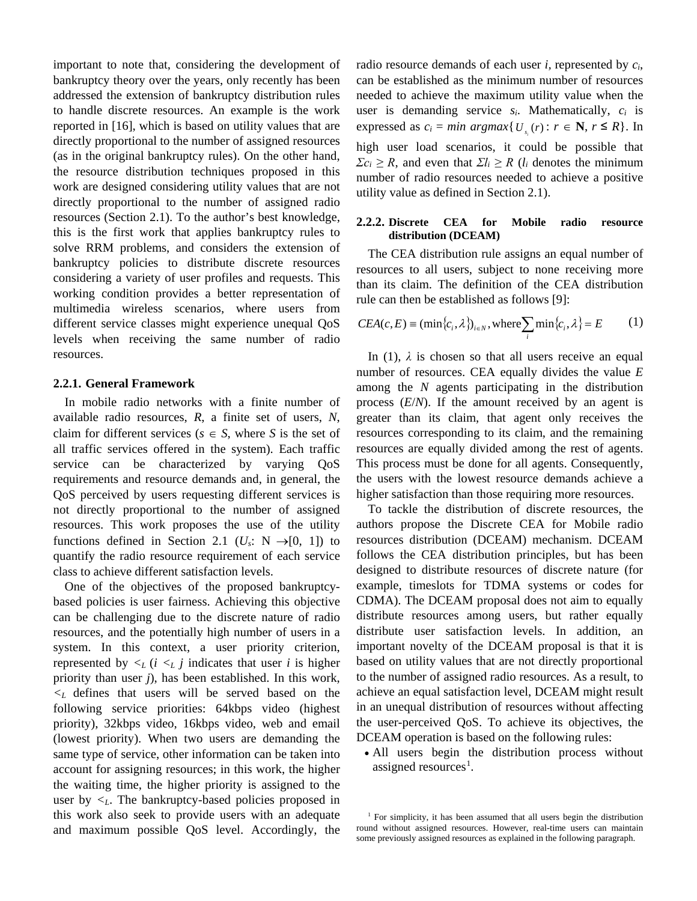important to note that, considering the development of bankruptcy theory over the years, only recently has been addressed the extension of bankruptcy distribution rules to handle discrete resources. An example is the work reported in [\[16\],](#page-13-9) which is based on utility values that are directly proportional to the number of assigned resources (as in the original bankruptcy rules). On the other hand, the resource distribution techniques proposed in this work are designed considering utility values that are not directly proportional to the number of assigned radio resources (Section [2.1\)](#page-1-0). To the author's best knowledge, this is the first work that applies bankruptcy rules to solve RRM problems, and considers the extension of bankruptcy policies to distribute discrete resources considering a variety of user profiles and requests. This working condition provides a better representation of multimedia wireless scenarios, where users from different service classes might experience unequal QoS levels when receiving the same number of radio resources.

## <span id="page-4-1"></span>**2.2.1. General Framework**

In mobile radio networks with a finite number of available radio resources, *R*, a finite set of users, *N*, claim for different services ( $s \in S$ , where *S* is the set of all traffic services offered in the system). Each traffic service can be characterized by varying QoS requirements and resource demands and, in general, the QoS perceived by users requesting different services is not directly proportional to the number of assigned resources. This work proposes the use of the utility functions defined in Section [2.1](#page-1-0) ( $U_s$ : N  $\rightarrow$  [0, 1]) to quantify the radio resource requirement of each service class to achieve different satisfaction levels.

<span id="page-4-0"></span>One of the objectives of the proposed bankruptcybased policies is user fairness. Achieving this objective can be challenging due to the discrete nature of radio resources, and the potentially high number of users in a system. In this context, a user priority criterion, represented by  $\lt_L$  (*i*  $\lt_L$  *j* indicates that user *i* is higher priority than user *j*), has been established. In this work, *<L* defines that users will be served based on the following service priorities: 64kbps video (highest priority), 32kbps video, 16kbps video, web and email (lowest priority). When two users are demanding the same type of service, other information can be taken into account for assigning resources; in this work, the higher the waiting time, the higher priority is assigned to the user by  $\lt_L$ . The bankruptcy-based policies proposed in this work also seek to provide users with an adequate and maximum possible QoS level. Accordingly, the radio resource demands of each user *i,* represented by *ci*, can be established as the minimum number of resources needed to achieve the maximum utility value when the user is demanding service *si*. Mathematically, *ci* is expressed as  $c_i = min \, argmax\{U_i(r) : r \in \mathbb{N}, r \leq R\}$ . In high user load scenarios, it could be possible that  $\sum c_i \geq R$ , and even that  $\sum l_i \geq R$  (*l<sub>i</sub>* denotes the minimum number of radio resources needed to achieve a positive utility value as defined in Section [2.1\)](#page-1-0).

#### **2.2.2. Discrete CEA for Mobile radio resource distribution (DCEAM)**

The CEA distribution rule assigns an equal number of resources to all users, subject to none receiving more than its claim. The definition of the CEA distribution rule can then be established as follows [\[9\]:](#page-13-2)

$$
CEA(c, E) \equiv (\min\{c_i, \lambda\})_{i \in N}, \text{where} \sum_i \min\{c_i, \lambda\} = E \qquad (1)
$$

In (1),  $\lambda$  is chosen so that all users receive an equal number of resources. CEA equally divides the value *E* among the *N* agents participating in the distribution process (*E*/*N*). If the amount received by an agent is greater than its claim, that agent only receives the resources corresponding to its claim, and the remaining resources are equally divided among the rest of agents. This process must be done for all agents. Consequently, the users with the lowest resource demands achieve a higher satisfaction than those requiring more resources.

To tackle the distribution of discrete resources, the authors propose the Discrete CEA for Mobile radio resources distribution (DCEAM) mechanism. DCEAM follows the CEA distribution principles, but has been designed to distribute resources of discrete nature (for example, timeslots for TDMA systems or codes for CDMA). The DCEAM proposal does not aim to equally distribute resources among users, but rather equally distribute user satisfaction levels. In addition, an important novelty of the DCEAM proposal is that it is based on utility values that are not directly proportional to the number of assigned radio resources. As a result, to achieve an equal satisfaction level, DCEAM might result in an unequal distribution of resources without affecting the user-perceived QoS. To achieve its objectives, the DCEAM operation is based on the following rules:

• All users begin the distribution process without assigned resources<sup>[1](#page-4-0)</sup>.

<sup>&</sup>lt;sup>1</sup> For simplicity, it has been assumed that all users begin the distribution round without assigned resources. However, real-time users can maintain some previously assigned resources as explained in the following paragraph.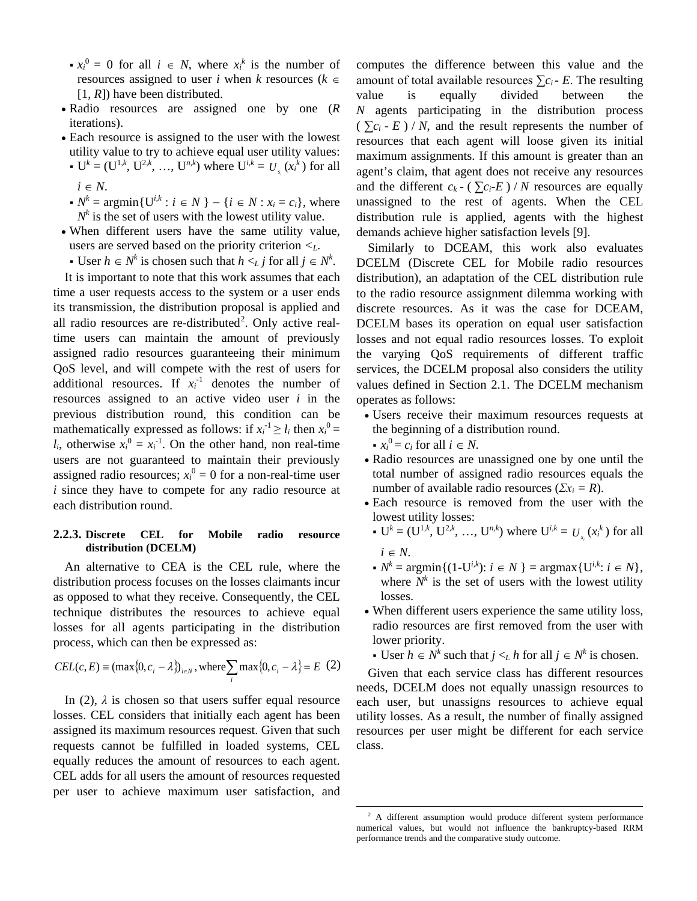- $\textbf{v}_i^0$  = 0 for all *i* ∈ *N*, where  $x_i^k$  is the number of resources assigned to user *i* when *k* resources ( $k \in$ [1, *R*]) have been distributed.
- Radio resources are assigned one by one (*R* iterations).
- Each resource is assigned to the user with the lowest utility value to try to achieve equal user utility values:  $\mathbf{U}^{k} = (\mathbf{U}^{1,k}, \mathbf{U}^{2,k}, ..., \mathbf{U}^{n,k})$  where  $\mathbf{U}^{i,k} = U_{s_i}(x_i^k)$  for all
	- *i* ∈ *N*.
	- $N^k = \arg\min\{U^{i,k} : i \in N\} \{i \in N : x_i = c_i\}$ , where  $N^k$  is the set of users with the lowest utility value.
- When different users have the same utility value, users are served based on the priority criterion *<L*.
	- User  $h \in N^k$  is chosen such that  $h \lt_L j$  for all  $j \in N^k$ .

It is important to note that this work assumes that each time a user requests access to the system or a user ends its transmission, the distribution proposal is applied and all radio resources are re-distributed<sup>[2](#page-5-0)</sup>. Only active realtime users can maintain the amount of previously assigned radio resources guaranteeing their minimum QoS level, and will compete with the rest of users for additional resources. If  $x_i^{-1}$  denotes the number of resources assigned to an active video user *i* in the previous distribution round, this condition can be mathematically expressed as follows: if  $x_i^{-1} \ge l_i$  then  $x_i^0 =$  $l_i$ , otherwise  $x_i^0 = x_i^{-1}$ . On the other hand, non real-time users are not guaranteed to maintain their previously assigned radio resources;  $x_i^0 = 0$  for a non-real-time user *i* since they have to compete for any radio resource at each distribution round.

## **2.2.3. Discrete CEL for Mobile radio resource distribution (DCELM)**

An alternative to CEA is the CEL rule, where the distribution process focuses on the losses claimants incur as opposed to what they receive. Consequently, the CEL technique distributes the resources to achieve equal losses for all agents participating in the distribution process, which can then be expressed as:

$$
CEL(c, E) \equiv (\max\{0, c_i - \lambda\})_{i \in N}, \text{where} \sum_i \max\{0, c_i - \lambda\} = E \tag{2}
$$

<span id="page-5-0"></span>In (2),  $\lambda$  is chosen so that users suffer equal resource losses. CEL considers that initially each agent has been assigned its maximum resources request. Given that such requests cannot be fulfilled in loaded systems, CEL equally reduces the amount of resources to each agent. CEL adds for all users the amount of resources requested per user to achieve maximum user satisfaction, and computes the difference between this value and the amount of total available resources  $\sum c_i$ - *E*. The resulting value is equally divided between the *N* agents participating in the distribution process  $(\sum c_i - E) / N$ , and the result represents the number of resources that each agent will loose given its initial maximum assignments. If this amount is greater than an agent's claim, that agent does not receive any resources and the different  $c_k$  - ( $\sum c_i E$ ) / *N* resources are equally unassigned to the rest of agents. When the CEL distribution rule is applied, agents with the highest demands achieve higher satisfaction levels [\[9\].](#page-13-2)

Similarly to DCEAM, this work also evaluates DCELM (Discrete CEL for Mobile radio resources distribution), an adaptation of the CEL distribution rule to the radio resource assignment dilemma working with discrete resources. As it was the case for DCEAM, DCELM bases its operation on equal user satisfaction losses and not equal radio resources losses. To exploit the varying QoS requirements of different traffic services, the DCELM proposal also considers the utility values defined in Section [2.1.](#page-1-0) The DCELM mechanism operates as follows:

- Users receive their maximum resources requests at the beginning of a distribution round. •  $x_i^0 = c_i$  for all  $i \in N$ .
- Radio resources are unassigned one by one until the total number of assigned radio resources equals the number of available radio resources ( $\sum x_i = R$ ).
- Each resource is removed from the user with the lowest utility losses:
- $\mathbf{U}^{k} = (\mathbf{U}^{1,k}, \mathbf{U}^{2,k}, ..., \mathbf{U}^{n,k})$  where  $\mathbf{U}^{i,k} = U_{s_i}(x_i^k)$  for all  $i \in N$ .
- $N^k$  = argmin{(1-U<sup>*i*,k</sup>): *i* ∈ *N*} = argmax{U<sup>*i*,k</sup>: *i* ∈ *N*}, where  $N^k$  is the set of users with the lowest utility losses.
- When different users experience the same utility loss, radio resources are first removed from the user with lower priority.

■ User  $h \in N^k$  such that  $j \lt_L h$  for all  $j \in N^k$  is chosen.

Given that each service class has different resources needs, DCELM does not equally unassign resources to each user, but unassigns resources to achieve equal utility losses. As a result, the number of finally assigned resources per user might be different for each service class.

<sup>&</sup>lt;sup>2</sup> A different assumption would produce different system performance numerical values, but would not influence the bankruptcy-based RRM performance trends and the comparative study outcome.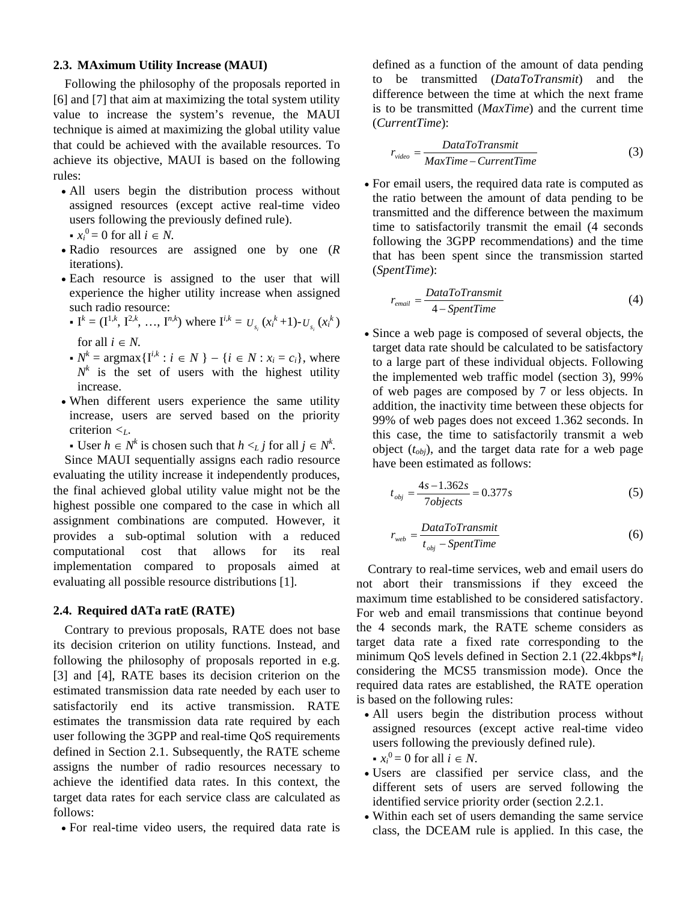#### **2.3. MAximum Utility Increase (MAUI)**

Following the philosophy of the proposals reported in [\[6\]](#page-12-5) and [\[7\]](#page-13-0) that aim at maximizing the total system utility value to increase the system's revenue, the MAUI technique is aimed at maximizing the global utility value that could be achieved with the available resources. To achieve its objective, MAUI is based on the following rules:

- All users begin the distribution process without assigned resources (except active real-time video users following the previously defined rule).
	- $x_i^0 = 0$  for all  $i \in N$ .
- Radio resources are assigned one by one (*R* iterations).
- Each resource is assigned to the user that will experience the higher utility increase when assigned such radio resource:
	- $\mathbf{I}^k = (\mathbf{I}^{1,k}, \mathbf{I}^{2,k}, \dots, \mathbf{I}^{n,k})$  where  $\mathbf{I}^{i,k} = U_{s_i}(x_i^k + 1) U_{s_i}(x_i^k)$ for all  $i \in N$ .
	- $N^k = \text{argmax}\{I^{i,k} : i \in N\} \{i \in N : x_i = c_i\}$ , where  $N^k$  is the set of users with the highest utility increase.
- When different users experience the same utility increase, users are served based on the priority criterion *<L*.
	- User  $h \in N^k$  is chosen such that  $h \leq L j$  for all  $j \in N^k$ .

Since MAUI sequentially assigns each radio resource evaluating the utility increase it independently produces, the final achieved global utility value might not be the highest possible one compared to the case in which all assignment combinations are computed. However, it provides a sub-optimal solution with a reduced computational cost that allows for its real implementation compared to proposals aimed at evaluating all possible resource distribution[s \[1\].](#page-12-0)

## <span id="page-6-0"></span>**2.4. Required dATa ratE (RATE)**

Contrary to previous proposals, RATE does not base its decision criterion on utility functions. Instead, and following the philosophy of proposals reported in e.g. [\[3\]](#page-12-2) and [\[4\],](#page-12-3) RATE bases its decision criterion on the estimated transmission data rate needed by each user to satisfactorily end its active transmission. RATE estimates the transmission data rate required by each user following the 3GPP and real-time QoS requirements defined in Section [2.1.](#page-1-0) Subsequently, the RATE scheme assigns the number of radio resources necessary to achieve the identified data rates. In this context, the target data rates for each service class are calculated as follows:

• For real-time video users, the required data rate is

defined as a function of the amount of data pending to be transmitted (*DataToTransmit*) and the difference between the time at which the next frame is to be transmitted (*MaxTime*) and the current time (*CurrentTime*):

$$
r_{video} = \frac{DataToTransmit}{MaxTime - CurrentTime}
$$
 (3)

• For email users, the required data rate is computed as the ratio between the amount of data pending to be transmitted and the difference between the maximum time to satisfactorily transmit the email (4 seconds following the 3GPP recommendations) and the time that has been spent since the transmission started (*SpentTime*):

$$
r_{\text{email}} = \frac{DataToTransmit}{4 - SpentTime} \tag{4}
$$

• Since a web page is composed of several objects, the target data rate should be calculated to be satisfactory to a large part of these individual objects. Following the implemented web traffic model (section [3\)](#page-7-0), 99% of web pages are composed by 7 or less objects. In addition, the inactivity time between these objects for 99% of web pages does not exceed 1.362 seconds. In this case, the time to satisfactorily transmit a web object (*tobj*), and the target data rate for a web page have been estimated as follows:

$$
t_{obj} = \frac{4s - 1.362s}{7 \text{objects}} = 0.377s \tag{5}
$$

$$
r_{web} = \frac{DataToTransmit}{t_{obj} - SpentTime}
$$
 (6)

Contrary to real-time services, web and email users do not abort their transmissions if they exceed the maximum time established to be considered satisfactory. For web and email transmissions that continue beyond the 4 seconds mark, the RATE scheme considers as target data rate a fixed rate corresponding to the minimum QoS levels defined in Section [2.1](#page-1-0) (22.4kbps\**li* considering the MCS5 transmission mode). Once the required data rates are established, the RATE operation is based on the following rules:

- All users begin the distribution process without assigned resources (except active real-time video users following the previously defined rule).
	- $\bullet$  *x<sub>i</sub>*<sup>0</sup> = 0 for all *i* ∈ *N*.
- Users are classified per service class, and the different sets of users are served following the identified service priority order (section [2.2.1.](#page-4-1)
- Within each set of users demanding the same service class, the DCEAM rule is applied. In this case, the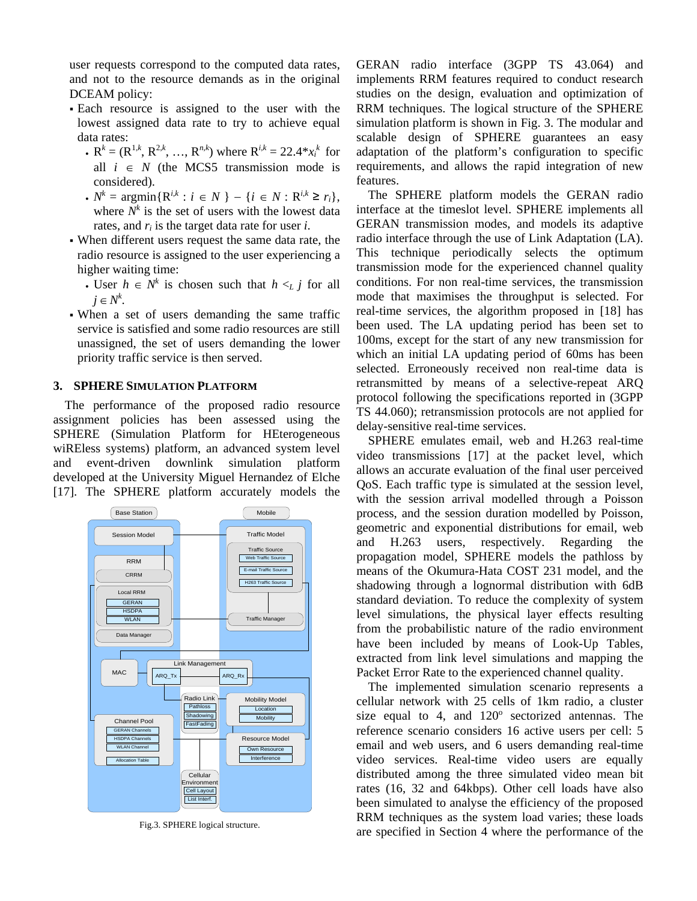user requests correspond to the computed data rates, and not to the resource demands as in the original DCEAM policy:

- Each resource is assigned to the user with the lowest assigned data rate to try to achieve equal data rates:
	- $R^k = (R^{1,k}, R^{2,k}, \ldots, R^{n,k})$  where  $R^{i,k} = 22.4 \cdot x_i^k$  for all  $i \in N$  (the MCS5 transmission mode is considered).
	- $N^k = \arg\min\{R^{i,k} : i \in N\} \{i \in N : R^{i,k} \ge r_i\},\$ where  $N^k$  is the set of users with the lowest data rates, and *ri* is the target data rate for user *i*.
- When different users request the same data rate, the radio resource is assigned to the user experiencing a higher waiting time:
	- User  $h \in N^k$  is chosen such that  $h \leq L$  *j* for all  $j \in \mathbb{N}^k$ .
- When a set of users demanding the same traffic service is satisfied and some radio resources are still unassigned, the set of users demanding the lower priority traffic service is then served.

#### <span id="page-7-0"></span>**3. SPHERE SIMULATION PLATFORM**

The performance of the proposed radio resource assignment policies has been assessed using the SPHERE (Simulation Platform for HEterogeneous wiREless systems) platform, an advanced system level and event-driven downlink simulation platform developed at the University Miguel Hernandez of Elche [\[17\].](#page-13-10) The SPHERE platform accurately models the



Fig.3. SPHERE logical structure.

GERAN radio interface (3GPP TS 43.064) and implements RRM features required to conduct research studies on the design, evaluation and optimization of RRM techniques. The logical structure of the SPHERE simulation platform is shown in Fig. 3. The modular and scalable design of SPHERE guarantees an easy adaptation of the platform's configuration to specific requirements, and allows the rapid integration of new features.

The SPHERE platform models the GERAN radio interface at the timeslot level. SPHERE implements all GERAN transmission modes, and models its adaptive radio interface through the use of Link Adaptation (LA). This technique periodically selects the optimum transmission mode for the experienced channel quality conditions. For non real-time services, the transmission mode that maximises the throughput is selected. For real-time services, the algorithm proposed in [\[18\]](#page-13-11) has been used. The LA updating period has been set to 100ms, except for the start of any new transmission for which an initial LA updating period of 60ms has been selected. Erroneously received non real-time data is retransmitted by means of a selective-repeat ARQ protocol following the specifications reported in (3GPP TS 44.060); retransmission protocols are not applied for delay-sensitive real-time services.

SPHERE emulates email, web and H.263 real-time video transmissions [\[17\]](#page-13-10) at the packet level, which allows an accurate evaluation of the final user perceived QoS. Each traffic type is simulated at the session level, with the session arrival modelled through a Poisson process, and the session duration modelled by Poisson, geometric and exponential distributions for email, web and H.263 users, respectively. Regarding the propagation model, SPHERE models the pathloss by means of the Okumura-Hata COST 231 model, and the shadowing through a lognormal distribution with 6dB standard deviation. To reduce the complexity of system level simulations, the physical layer effects resulting from the probabilistic nature of the radio environment have been included by means of Look-Up Tables, extracted from link level simulations and mapping the Packet Error Rate to the experienced channel quality.

The implemented simulation scenario represents a cellular network with 25 cells of 1km radio, a cluster size equal to 4, and  $120^{\circ}$  sectorized antennas. The reference scenario considers 16 active users per cell: 5 email and web users, and 6 users demanding real-time video services. Real-time video users are equally distributed among the three simulated video mean bit rates (16, 32 and 64kbps). Other cell loads have also been simulated to analyse the efficiency of the proposed RRM techniques as the system load varies; these loads are specified in Section [4](#page-8-0) where the performance of the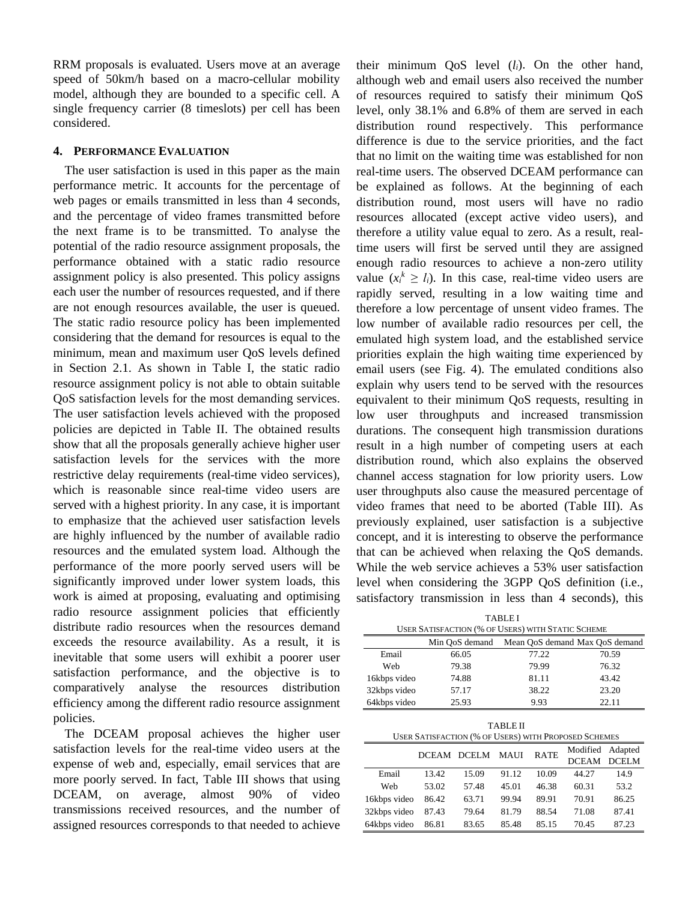RRM proposals is evaluated. Users move at an average speed of 50km/h based on a macro-cellular mobility model, although they are bounded to a specific cell. A single frequency carrier (8 timeslots) per cell has been considered.

## <span id="page-8-0"></span>**4. PERFORMANCE EVALUATION**

The user satisfaction is used in this paper as the main performance metric. It accounts for the percentage of web pages or emails transmitted in less than 4 seconds, and the percentage of video frames transmitted before the next frame is to be transmitted. To analyse the potential of the radio resource assignment proposals, the performance obtained with a static radio resource assignment policy is also presented. This policy assigns each user the number of resources requested, and if there are not enough resources available, the user is queued. The static radio resource policy has been implemented considering that the demand for resources is equal to the minimum, mean and maximum user QoS levels defined in Section [2.1.](#page-1-0) As shown in Table I, the static radio resource assignment policy is not able to obtain suitable QoS satisfaction levels for the most demanding services. The user satisfaction levels achieved with the proposed policies are depicted in Table II. The obtained results show that all the proposals generally achieve higher user satisfaction levels for the services with the more restrictive delay requirements (real-time video services), which is reasonable since real-time video users are served with a highest priority. In any case, it is important to emphasize that the achieved user satisfaction levels are highly influenced by the number of available radio resources and the emulated system load. Although the performance of the more poorly served users will be significantly improved under lower system loads, this work is aimed at proposing, evaluating and optimising radio resource assignment policies that efficiently distribute radio resources when the resources demand exceeds the resource availability. As a result, it is inevitable that some users will exhibit a poorer user satisfaction performance, and the objective is to comparatively analyse the resources distribution efficiency among the different radio resource assignment policies.

The DCEAM proposal achieves the higher user satisfaction levels for the real-time video users at the expense of web and, especially, email services that are more poorly served. In fact, Table III shows that using DCEAM, on average, almost 90% of video transmissions received resources, and the number of assigned resources corresponds to that needed to achieve their minimum QoS level (*li*). On the other hand, although web and email users also received the number of resources required to satisfy their minimum QoS level, only 38.1% and 6.8% of them are served in each distribution round respectively. This performance difference is due to the service priorities, and the fact that no limit on the waiting time was established for non real-time users. The observed DCEAM performance can be explained as follows. At the beginning of each distribution round, most users will have no radio resources allocated (except active video users), and therefore a utility value equal to zero. As a result, realtime users will first be served until they are assigned enough radio resources to achieve a non-zero utility value  $(x_i^k \geq l_i)$ . In this case, real-time video users are rapidly served, resulting in a low waiting time and therefore a low percentage of unsent video frames. The low number of available radio resources per cell, the emulated high system load, and the established service priorities explain the high waiting time experienced by email users (see Fig. 4). The emulated conditions also explain why users tend to be served with the resources equivalent to their minimum QoS requests, resulting in low user throughputs and increased transmission durations. The consequent high transmission durations result in a high number of competing users at each distribution round, which also explains the observed channel access stagnation for low priority users. Low user throughputs also cause the measured percentage of video frames that need to be aborted (Table III). As previously explained, user satisfaction is a subjective concept, and it is interesting to observe the performance that can be achieved when relaxing the QoS demands. While the web service achieves a 53% user satisfaction level when considering the 3GPP QoS definition (i.e., satisfactory transmission in less than 4 seconds), this

| <b>USER SATISFACTION (% OF USERS) WITH STATIC SCHEME</b> |                |                                |       |  |  |  |  |
|----------------------------------------------------------|----------------|--------------------------------|-------|--|--|--|--|
|                                                          | Min OoS demand | Mean QoS demand Max QoS demand |       |  |  |  |  |
| Email                                                    | 66.05          | 77.22                          | 70.59 |  |  |  |  |
| Web                                                      | 79.38          | 79.99                          | 76.32 |  |  |  |  |
| 16kbps video                                             | 74.88          | 81.11                          | 43.42 |  |  |  |  |
| 32kbps video                                             | 57.17          | 38.22                          | 23.20 |  |  |  |  |
| 64kbps video                                             | 25.93          | 9.93                           | 22.11 |  |  |  |  |

| TABLE II<br><b>USER SATISFACTION (% OF USERS) WITH PROPOSED SCHEMES</b> |              |              |       |             |                          |                         |
|-------------------------------------------------------------------------|--------------|--------------|-------|-------------|--------------------------|-------------------------|
|                                                                         | <b>DCEAM</b> | <b>DCELM</b> | MAUI  | <b>RATE</b> | Modified<br><b>DCEAM</b> | Adapted<br><b>DCELM</b> |
| Email                                                                   | 13.42        | 15.09        | 91.12 | 10.09       | 44.27                    | 14.9                    |
| Web                                                                     | 53.02        | 57.48        | 45.01 | 46.38       | 60.31                    | 53.2                    |
| 16kbps video                                                            | 86.42        | 63.71        | 99.94 | 89.91       | 70.91                    | 86.25                   |
| 32kbps video                                                            | 87.43        | 79.64        | 81.79 | 88.54       | 71.08                    | 87.41                   |
| 64kbps video                                                            | 86.81        | 83.65        | 85.48 | 85.15       | 70.45                    | 87.23                   |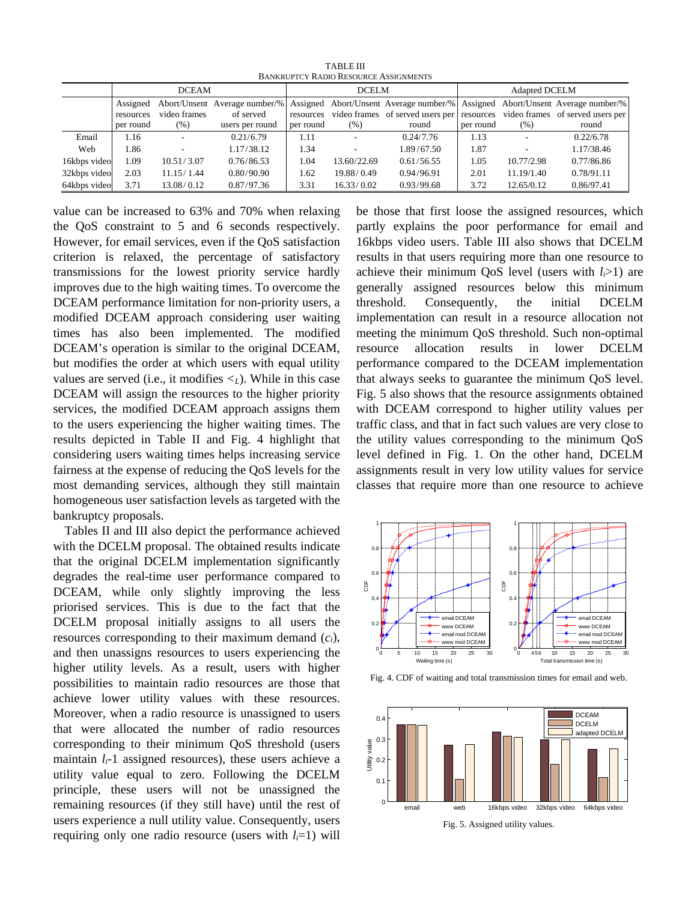| <b>BANKRUPTCY RADIO RESOURCE ASSIGNMENTS</b> |              |                          |                               |              |             |            |                      |                          |                                                                                 |
|----------------------------------------------|--------------|--------------------------|-------------------------------|--------------|-------------|------------|----------------------|--------------------------|---------------------------------------------------------------------------------|
|                                              | <b>DCEAM</b> |                          |                               | <b>DCELM</b> |             |            | <b>Adapted DCELM</b> |                          |                                                                                 |
|                                              | Assigned     |                          | Abort/Unsent Average number/% |              |             |            |                      |                          | Assigned Abort/Unsent Average number/%   Assigned Abort/Unsent Average number/% |
|                                              | resources    | video frames             | of served                     | resources    |             |            |                      |                          | video frames of served users per resources video frames of served users per     |
|                                              | per round    | $(\%)$                   | users per round               | per round    | (% )        | round      | per round            | $(\% )$                  | round                                                                           |
| Email                                        | 1.16         | $\overline{\phantom{a}}$ | 0.21/6.79                     | 1.11         |             | 0.24/7.76  | 1.13                 | $\overline{\phantom{a}}$ | 0.22/6.78                                                                       |
| Web                                          | 1.86         |                          | 1.17/38.12                    | 1.34         |             | 1.89/67.50 | 1.87                 |                          | 1.17/38.46                                                                      |
| 16kbps video                                 | 1.09         | 10.51/3.07               | 0.76/86.53                    | 1.04         | 13.60/22.69 | 0.61/56.55 | 1.05                 | 10.77/2.98               | 0.77/86.86                                                                      |
| 32kbps video                                 | 2.03         | 11.15/1.44               | 0.80/90.90                    | 1.62         | 19.88/0.49  | 0.94/96.91 | 2.01                 | 11.19/1.40               | 0.78/91.11                                                                      |
| 64kbps video                                 | 3.71         | 13.08/0.12               | 0.87/97.36                    | 3.31         | 16.33/0.02  | 0.93/99.68 | 3.72                 | 12.65/0.12               | 0.86/97.41                                                                      |

TABLE III

value can be increased to 63% and 70% when relaxing the QoS constraint to 5 and 6 seconds respectively. However, for email services, even if the QoS satisfaction criterion is relaxed, the percentage of satisfactory transmissions for the lowest priority service hardly improves due to the high waiting times. To overcome the DCEAM performance limitation for non-priority users, a modified DCEAM approach considering user waiting times has also been implemented. The modified DCEAM's operation is similar to the original DCEAM, but modifies the order at which users with equal utility values are served (i.e., it modifies  $\lt_L$ ). While in this case DCEAM will assign the resources to the higher priority services, the modified DCEAM approach assigns them to the users experiencing the higher waiting times. The results depicted in Table II and Fig. 4 highlight that considering users waiting times helps increasing service fairness at the expense of reducing the QoS levels for the most demanding services, although they still maintain homogeneous user satisfaction levels as targeted with the bankruptcy proposals.

Tables II and III also depict the performance achieved with the DCELM proposal. The obtained results indicate that the original DCELM implementation significantly degrades the real-time user performance compared to DCEAM, while only slightly improving the less priorised services. This is due to the fact that the DCELM proposal initially assigns to all users the resources corresponding to their maximum demand (*ci*), and then unassigns resources to users experiencing the higher utility levels. As a result, users with higher possibilities to maintain radio resources are those that achieve lower utility values with these resources. Moreover, when a radio resource is unassigned to users that were allocated the number of radio resources corresponding to their minimum QoS threshold (users maintain *li*-1 assigned resources), these users achieve a utility value equal to zero. Following the DCELM principle, these users will not be unassigned the remaining resources (if they still have) until the rest of users experience a null utility value. Consequently, users requiring only one radio resource (users with  $l_i=1$ ) will be those that first loose the assigned resources, which partly explains the poor performance for email and 16kbps video users. Table III also shows that DCELM results in that users requiring more than one resource to achieve their minimum QoS level (users with  $l_i$ >1) are generally assigned resources below this minimum threshold. Consequently, the initial DCELM implementation can result in a resource allocation not meeting the minimum QoS threshold. Such non-optimal resource allocation results in lower DCELM performance compared to the DCEAM implementation that always seeks to guarantee the minimum QoS level. Fig. 5 also shows that the resource assignments obtained with DCEAM correspond to higher utility values per traffic class, and that in fact such values are very close to the utility values corresponding to the minimum QoS level defined in Fig. 1. On the other hand, DCELM assignments result in very low utility values for service classes that require more than one resource to achieve



Fig. 4. CDF of waiting and total transmission times for email and web.

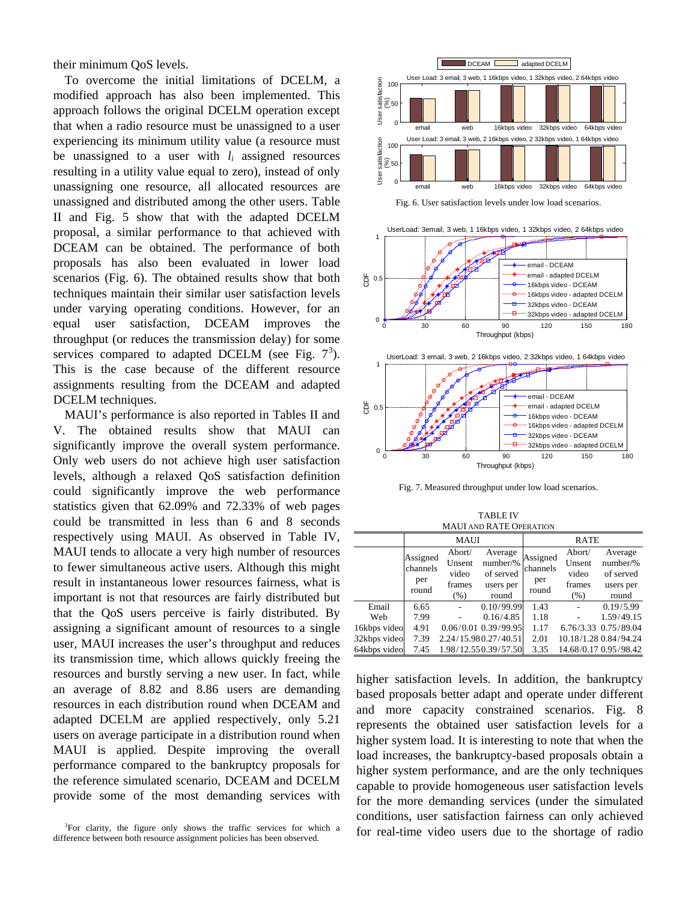their minimum QoS levels.

To overcome the initial limitations of DCELM, a modified approach has also been implemented. This approach follows the original DCELM operation except that when a radio resource must be unassigned to a user experiencing its minimum utility value (a resource must be unassigned to a user with  $l_i$  assigned resources resulting in a utility value equal to zero), instead of only unassigning one resource, all allocated resources are unassigned and distributed among the other users. Table II and Fig. 5 show that with the adapted DCELM proposal, a similar performance to that achieved with DCEAM can be obtained. The performance of both proposals has also been evaluated in lower load scenarios (Fig. 6). The obtained results show that both techniques maintain their similar user satisfaction levels under varying operating conditions. However, for an equal user satisfaction, DCEAM improves the throughput (or reduces the transmission delay) for some services compared to adapted DCELM (see Fig.  $7<sup>3</sup>$  $7<sup>3</sup>$  $7<sup>3</sup>$ ). This is the case because of the different resource assignments resulting from the DCEAM and adapted DCELM techniques.

MAUI's performance is also reported in Tables II and V. The obtained results show that MAUI can significantly improve the overall system performance. Only web users do not achieve high user satisfaction levels, although a relaxed QoS satisfaction definition could significantly improve the web performance statistics given that 62.09% and 72.33% of web pages could be transmitted in less than 6 and 8 seconds respectively using MAUI. As observed in Table IV, MAUI tends to allocate a very high number of resources to fewer simultaneous active users. Although this might result in instantaneous lower resources fairness, what is important is not that resources are fairly distributed but that the QoS users perceive is fairly distributed. By assigning a significant amount of resources to a single user, MAUI increases the user's throughput and reduces its transmission time, which allows quickly freeing the resources and burstly serving a new user. In fact, while an average of 8.82 and 8.86 users are demanding resources in each distribution round when DCEAM and adapted DCELM are applied respectively, only 5.21 users on average participate in a distribution round when MAUI is applied. Despite improving the overall performance compared to the bankruptcy proposals for the reference simulated scenario, DCEAM and DCELM provide some of the most demanding services with





Fig. 7. Measured throughput under low load scenarios.

0 0 30 60 90 120 150 180

32kbps video - adapted DCELM

Throughput (kbps)

TABLE IV MAUI AND RATE OPERATION MAUI RATE Assigned channels per round Abort/ Unsent video frames  $(% )$ Average number/% of served users per round Assigned channels per round Abort/ Unsent video frames  $($ %) Average number/% of served users per round Email 6.65 - 0.10/99.99 1.43 - 0.19/5.99 Web 7.99 - 0.16/4.85 1.18 - 1.59/49.15 16kbps video 4.91 0.06/0.01 0.39/99.95 1.17 6.76/3.33 0.75/89.04 32kbps video 7.39 2.24/15.980.27/40.51 2.01 10.18/1.28 0.84/94.24 64kbps video 7.45 1.98/12.550.39/57.50 3.35 14.68/0.17 0.95/98.42

higher satisfaction levels. In addition, the bankruptcy based proposals better adapt and operate under different and more capacity constrained scenarios. Fig. 8 represents the obtained user satisfaction levels for a higher system load. It is interesting to note that when the load increases, the bankruptcy-based proposals obtain a higher system performance, and are the only techniques capable to provide homogeneous user satisfaction levels for the more demanding services (under the simulated conditions, user satisfaction fairness can only achieved for real-time video users due to the shortage of radio

<span id="page-10-0"></span><sup>&</sup>lt;sup>3</sup>For clarity, the figure only shows the traffic services for which a difference between both resource assignment policies has been observed.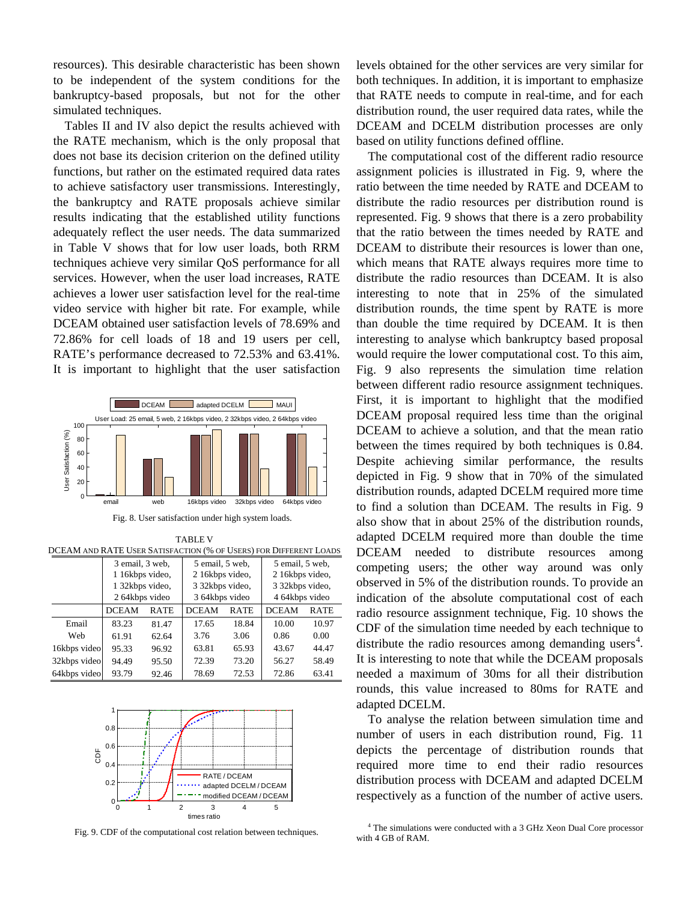resources). This desirable characteristic has been shown to be independent of the system conditions for the bankruptcy-based proposals, but not for the other simulated techniques.

Tables II and IV also depict the results achieved with the RATE mechanism, which is the only proposal that does not base its decision criterion on the defined utility functions, but rather on the estimated required data rates to achieve satisfactory user transmissions. Interestingly, the bankruptcy and RATE proposals achieve similar results indicating that the established utility functions adequately reflect the user needs. The data summarized in Table V shows that for low user loads, both RRM techniques achieve very similar QoS performance for all services. However, when the user load increases, RATE achieves a lower user satisfaction level for the real-time video service with higher bit rate. For example, while DCEAM obtained user satisfaction levels of 78.69% and 72.86% for cell loads of 18 and 19 users per cell, RATE's performance decreased to 72.53% and 63.41%. It is important to highlight that the user satisfaction



Fig. 8. User satisfaction under high system loads.

TABLE V DCEAM AND RATE USER SATISFACTION (% OF USERS) FOR DIFFERENT LOADS

|              | 3 email, 3 web, |             | 5 email, 5 web, |             | 5 email, 5 web, |       |
|--------------|-----------------|-------------|-----------------|-------------|-----------------|-------|
|              | 1 16kbps video, |             | 2 16kbps video, |             | 2 16kbps video, |       |
|              | 1 32kbps video, |             | 3 32kbps video, |             | 3 32kbps video, |       |
|              | 2 64kbps video  |             | 3 64kbps video  |             | 4 64kbps video  |       |
|              | <b>DCEAM</b>    | <b>RATE</b> | <b>DCEAM</b>    | <b>RATE</b> | <b>DCEAM</b>    | RATE  |
| Email        | 83.23           | 81.47       | 17.65           | 18.84       | 10.00           | 10.97 |
| Web          | 61.91           | 62.64       | 3.76            | 3.06        | 0.86            | 0.00  |
| 16kbps video | 95.33           | 96.92       | 63.81           | 65.93       | 43.67           | 44.47 |
| 32kbps video | 94.49           | 95.50       | 72.39           | 73.20       | 56.27           | 58.49 |
| 64kbps video | 93.79           | 92.46       | 78.69           | 72.53       | 72.86           | 63.41 |



<span id="page-11-0"></span>Fig. 9. CDF of the computational cost relation between techniques.

levels obtained for the other services are very similar for both techniques. In addition, it is important to emphasize that RATE needs to compute in real-time, and for each distribution round, the user required data rates, while the DCEAM and DCELM distribution processes are only based on utility functions defined offline.

The computational cost of the different radio resource assignment policies is illustrated in Fig. 9, where the ratio between the time needed by RATE and DCEAM to distribute the radio resources per distribution round is represented. Fig. 9 shows that there is a zero probability that the ratio between the times needed by RATE and DCEAM to distribute their resources is lower than one, which means that RATE always requires more time to distribute the radio resources than DCEAM. It is also interesting to note that in 25% of the simulated distribution rounds, the time spent by RATE is more than double the time required by DCEAM. It is then interesting to analyse which bankruptcy based proposal would require the lower computational cost. To this aim, Fig. 9 also represents the simulation time relation between different radio resource assignment techniques. First, it is important to highlight that the modified DCEAM proposal required less time than the original DCEAM to achieve a solution, and that the mean ratio between the times required by both techniques is 0.84. Despite achieving similar performance, the results depicted in Fig. 9 show that in 70% of the simulated distribution rounds, adapted DCELM required more time to find a solution than DCEAM. The results in Fig. 9 also show that in about 25% of the distribution rounds, adapted DCELM required more than double the time DCEAM needed to distribute resources among competing users; the other way around was only observed in 5% of the distribution rounds. To provide an indication of the absolute computational cost of each radio resource assignment technique, Fig. 10 shows the CDF of the simulation time needed by each technique to distribute the radio resources among demanding users<sup>[4](#page-11-0)</sup>. It is interesting to note that while the DCEAM proposals needed a maximum of 30ms for all their distribution rounds, this value increased to 80ms for RATE and adapted DCELM.

To analyse the relation between simulation time and number of users in each distribution round, Fig. 11 depicts the percentage of distribution rounds that required more time to end their radio resources distribution process with DCEAM and adapted DCELM respectively as a function of the number of active users.

<sup>4</sup> The simulations were conducted with a 3 GHz Xeon Dual Core processor with 4 GB of RAM.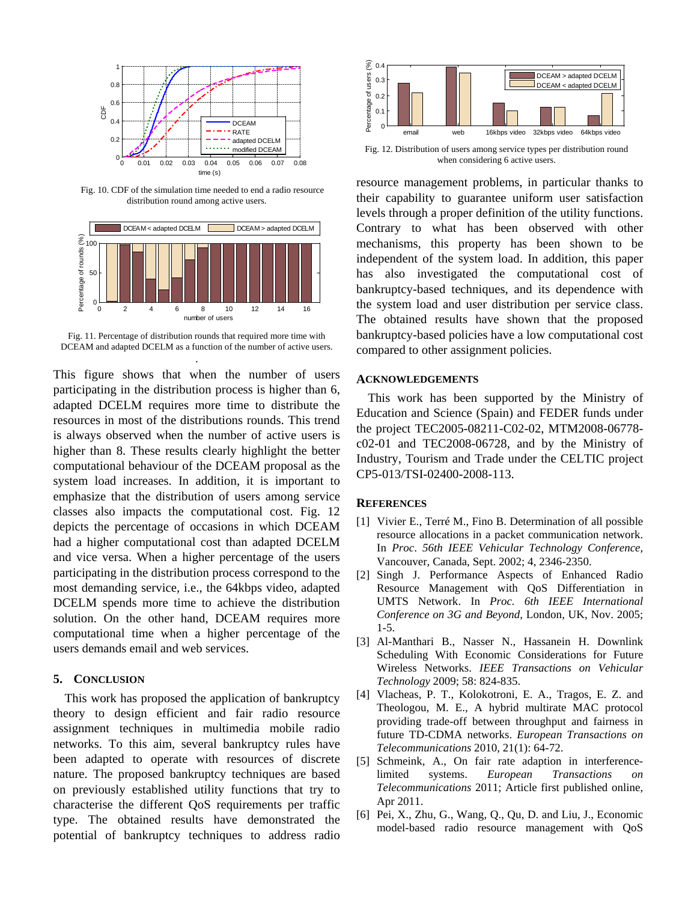

Fig. 10. CDF of the simulation time needed to end a radio resource distribution round among active users.



Fig. 11. Percentage of distribution rounds that required more time with DCEAM and adapted DCELM as a function of the number of active users. .

This figure shows that when the number of users participating in the distribution process is higher than 6, adapted DCELM requires more time to distribute the resources in most of the distributions rounds. This trend is always observed when the number of active users is higher than 8. These results clearly highlight the better computational behaviour of the DCEAM proposal as the system load increases. In addition, it is important to emphasize that the distribution of users among service classes also impacts the computational cost. Fig. 12 depicts the percentage of occasions in which DCEAM had a higher computational cost than adapted DCELM and vice versa. When a higher percentage of the users participating in the distribution process correspond to the most demanding service, i.e., the 64kbps video, adapted DCELM spends more time to achieve the distribution solution. On the other hand, DCEAM requires more computational time when a higher percentage of the users demands email and web services.

#### **5. CONCLUSION**

This work has proposed the application of bankruptcy theory to design efficient and fair radio resource assignment techniques in multimedia mobile radio networks. To this aim, several bankruptcy rules have been adapted to operate with resources of discrete nature. The proposed bankruptcy techniques are based on previously established utility functions that try to characterise the different QoS requirements per traffic type. The obtained results have demonstrated the potential of bankruptcy techniques to address radio



Fig. 12. Distribution of users among service types per distribution round when considering 6 active users.

resource management problems, in particular thanks to their capability to guarantee uniform user satisfaction levels through a proper definition of the utility functions. Contrary to what has been observed with other mechanisms, this property has been shown to be independent of the system load. In addition, this paper has also investigated the computational cost of bankruptcy-based techniques, and its dependence with the system load and user distribution per service class. The obtained results have shown that the proposed bankruptcy-based policies have a low computational cost compared to other assignment policies.

## **ACKNOWLEDGEMENTS**

This work has been supported by the Ministry of Education and Science (Spain) and FEDER funds under the project TEC2005-08211-C02-02, MTM2008-06778 c02-01 and TEC2008-06728, and by the Ministry of Industry, Tourism and Trade under the CELTIC project CP5-013/TSI-02400-2008-113.

#### **REFERENCES**

- <span id="page-12-0"></span>[1] Vivier E., Terré M., Fino B. Determination of all possible resource allocations in a packet communication network. In *Proc*. *56th IEEE Vehicular Technology Conference*, Vancouver, Canada, Sept. 2002; 4, 2346-2350.
- <span id="page-12-1"></span>[2] Singh J. Performance Aspects of Enhanced Radio Resource Management with QoS Differentiation in UMTS Network. In *Proc. 6th IEEE International Conference on 3G and Beyond*, London, UK, Nov. 2005; 1-5.
- <span id="page-12-2"></span>[3] Al-Manthari B., Nasser N., Hassanein H. Downlink Scheduling With Economic Considerations for Future Wireless Networks. *IEEE Transactions on Vehicular Technology* 2009; 58: 824-835.
- <span id="page-12-3"></span>[4] Vlacheas, P. T., Kolokotroni, E. A., Tragos, E. Z. and Theologou, M. E., A hybrid multirate MAC protocol providing trade-off between throughput and fairness in future TD-CDMA networks. *European Transactions on Telecommunications* 2010, 21(1): 64-72.
- <span id="page-12-4"></span>[5] Schmeink, A., On fair rate adaption in interferencelimited systems. *European Transactions on Telecommunications* 2011; Article first published online, Apr 2011.
- <span id="page-12-5"></span>[6] Pei, X., Zhu, G., Wang, Q., Qu, D. and Liu, J., Economic model-based radio resource management with QoS